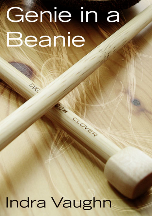# Genie in a Beanie

CLOLED

TAKE

Indra Vaughn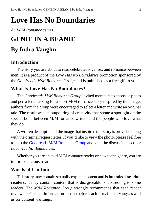## **Love Has No Boundaries**

#### *An M/M Romance series*

## **GENIE IN A BEANIE By Indra Vaughn**

#### **Introduction**

The story you are about to read celebrates love, sex and romance between men. It is a product of the *Love Has No Boundaries* promotion sponsored by the *Goodreads M/M Romance Group* and is published as a free gift to you.

#### **What Is Love Has No Boundaries?**

The *Goodreads M/M Romance Group* invited members to choose a photo and pen a letter asking for a short M/M romance story inspired by the image; authors from the group were encouraged to select a letter and write an original tale. The result was an outpouring of creativity that shone a spotlight on the special bond between M/M romance writers and the people who love what they do.

A written description of the image that inspired this story is provided along with the original request letter. If you'd like to view the photo, please feel free to join the [Goodreads M/M Romance Group](http://www.goodreads.com/group/show/20149-m-m-romance) and visit the discussion section: *Love Has No Boundaries*.

Whether you are an avid M/M romance reader or new to the genre, you are in for a delicious treat.

#### **Words of Caution**

This story may contain sexually explicit content and is **intended for adult readers.** It may contain content that is disagreeable or distressing to some readers. The *M/M Romance Group* strongly recommends that each reader review the General Information section before each story for story tags as well as for content warnings.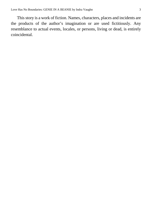This story is a work of fiction. Names, characters, places and incidents are the products of the author's imagination or are used fictitiously. Any resemblance to actual events, locales, or persons, living or dead, is entirely coincidental.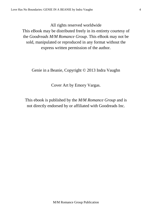All rights reserved worldwide

This eBook may be distributed freely in its entirety courtesy of the *Goodreads M/M Romance Group*. This eBook may not be sold, manipulated or reproduced in any format without the express written permission of the author.

Genie in a Beanie, Copyright © 2013 Indra Vaughn

Cover Art by Emory Vargas.

This ebook is published by the *M/M Romance Group* and is not directly endorsed by or affiliated with Goodreads Inc.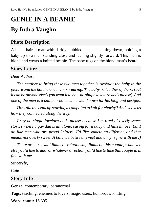## **GENIE IN A BEANIE By Indra Vaughn**

#### **Photo Description**

A black-haired man with darkly stubbled cheeks is sitting down, holding a baby up to a man standing close and leaning slightly forward. This man is blond and wears a knitted beanie. The baby tugs on the blond man's beard.

#### **Story Letter**

*Dear Author*,

*The catalyst to bring these two men together is twofold: the baby in the picture and the hat the one man is wearing. The baby isn't either of theirs (but it can be anyone else's you want it to be—no single lovelorn dads please). And one of the men is a knitter who became well known for his blog and designs.*

*How did they end up starting a campaign to knit for charity? And, show us how they connected along the way.*

*I say no single lovelorn dads please because I'm tired of overly sweet stories where a gay dad is all alone, caring for a baby and falls in love. But I do like men who are proud knitters. I'd like something different, and that means not overly sweet. A balance between sweet and dirty is fine with me :)*

*There are no sexual limits or relationship limits on this couple, whatever else you'd like to add, or whatever direction you'd like to take this couple in is fine with me.*

*Sincerely,*

*Cole*

#### **Story Info**

**Genre:** contemporary, paranormal

**Tags:** teaching, enemies to lovers, magic users, humorous, knitting

**Word count:** 16,305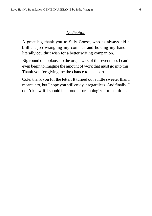#### *Dedication*

A great big thank you to Silly Goose, who as always did a brilliant job wrangling my commas and holding my hand. I literally couldn't wish for a better writing companion.

Big round of applause to the organizers of this event too. I can't even begin to imagine the amount of work that must go into this. Thank you for giving me the chance to take part.

Cole, thank you for the letter. It turned out a little sweeter than I meant it to, but I hope you still enjoy it regardless. And finally, I don't know if I should be proud of or apologize for that title…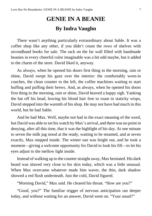## **GENIE IN A BEANIE By Indra Vaughn**

There wasn't anything particularly extraordinary about Sable. It was a coffee shop like any other, if you didn't count the rows of shelves with secondhand books for sale. The rack on the far wall filled with handmade beanies in every cheerful color imaginable was a bit odd maybe, but it added to the charm of the store. David liked it, anyway.

As always, when he opened his doors first thing in the morning, rain or shine, David swept his gaze over the interior: the comfortably worn-in couches, the clean counter to the left, the coffee machines waiting to start huffing and puffing their brews. And, as always, when he opened his doors first thing in the morning, rain or shine, David heaved a happy sigh. Yanking the hat off his head, leaving his blond hair free to roam in staticky wisps, David stepped into the warmth of his shop. He may not have had much in this world, but he had Sable.

And he had Max. Well, maybe not had in the exact meaning of the word, but David was able to set his watch by Max's arrival, and there was no point in denying, after all this time, that it was the highlight of his day. At one minute to seven the milk jug stood at the ready, waiting to be steamed, and at seven exactly, Max stepped inside. The winter sun was bright out, and he took a moment—giving a welcome opportunity for David to look his fill—to let his eyes adjust to the mellow light inside.

Instead of walking up to the counter straight away, Max hesitated. His dark beard was shaved very close to his skin today, which was a little unusual. When Max overcame whatever made him waver, the thin, dark shadow showed a red flush underneath. Just the cold, David figured.

"Morning David," Max said. He cleared his throat. "How are you?"

"Good, you?" The familiar trigger of nervous anticipation ran deeper today, and without waiting for an answer, David went on. "Your usual?"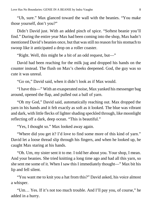"Uh, sure." Max glanced toward the wall with the beanies. "You make those yourself, don't you?"

Didn't David just. With an added pinch of spice. "Softest beanie you'll find." During the entire year Max had been coming into the shop, Max hadn't mentioned David's beanies once, but that was still no reason for his stomach to swoop like it anticipated a drop on a roller coaster.

"Right. Well, this might be a bit of an odd request, but—"

David had been reaching for the milk jug and dropped his hands on the counter instead. The flush on Max's cheeks deepened. God, the guy was so cute it was unreal.

"Go on," David said, when it didn't look as if Max would.

"I have this—" With an exasperated noise, Max yanked his messenger bag around, opened the flap, and pulled out a ball of yarn.

"Oh my God," David said, automatically reaching out. Max dropped the yarn in his hands and it felt exactly as soft as it looked. The blue was vibrant and dark, with little flecks of lighter shading speckled through, like moonlight reflecting off a dark, deep ocean. "This is beautiful."

"Yes, I thought so." Max looked away again.

"Where did you get it? I'd love to find some more of this kind of yarn." David let a loose thread slip through his fingers, and when he looked up, he caught Max staring at his hands.

"Oh. Um, my sister sent it to me. I told her about you. Your shop, I mean. And your beanies. She tried knitting a long time ago and had all this yarn, so she sent me some of it. When I saw this I immediately thought—" Max bit his lip and fell silent.

"You want me to knit you a hat from this?" David asked, his voice almost a whisper.

"Um… Yes. If it's not too much trouble. And I'll pay you, of course," he added in a hurry.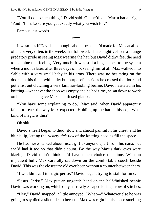"You'll do no such thing," David said. Oh, he'd knit Max a hat all right. "And I'll make sure you get exactly what you wish for."

Famous last words.

\*\*\*\*

It wasn't as if David had thought about the hat he'd made for Max at all, or often, or very often, in the weeks that followed. There might've been a strange predatory pride in seeing Max wearing the hat, but David didn't feel the need to examine that feeling. Very much. It was still a huge shock to the system when a month later, after three days of not seeing him at all, Max walked into Sable with a very small baby in his arms. There was no hesitating on the doorstep this time; with quiet but purposeful strides he crossed the floor and put a fist out clutching a very familiar-looking beanie. David hesitated in his knitting—whenever the shop was empty and he had time, he sat down to work on his hats—and gave Max a confused glance.

"You have some explaining to do," Max said, when David apparently failed to react the way Max expected. Holding up the hat he hissed, "What kind of magic is this?"

Oh shit.

David's heart began to thud, slow and almost painful in his chest, and he bit his lip, letting the *rickety-tick-tick* of the knitting needles fill the space.

He had never talked about his… gift to anyone apart from his nana, but she'd had it too so that didn't count. By the way Max's dark eyes were blazing, David didn't think he'd have much choice this time. With an impatient huff, Max carefully sat down on the comfortable couch beside David. This was the closest they'd ever been without a counter between them.

"I wouldn't call it magic per se," David began, trying to stall for time.

"Jesus Christ." Max put an ungentle hand on the half-finished beanie David was working on, which only narrowly escaped losing a row of stitches.

"Hey," David snapped, a little annoyed. "What—" Whatever else he was going to say died a silent death because Max was right in his space smelling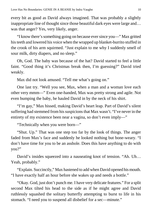every bit as good as David always imagined. That was probably a slightly inappropriate line of thought since those beautiful dark eyes were large and… was that anger? Yes, very likely, anger.

"I know there's something going on because ever since you—" Max gritted his teeth and lowered his voice when the wrapped up blanket-burrito stuffed in the crook of his arm squirmed. "Just explain to me why I suddenly smell of sour milk, dirty diapers, and no sleep."

Oh, God. The baby was because of the hat? David started to feel a little faint. "Good thing it's Christmas break then, I'm guessing?" David tried weakly.

Max did not look amused. "Tell me what's going on."

One last try. "Well you see, Max, when a man and a woman love each other very mmm—" Even one-handed, Max was pretty strong and agile. Not even bumping the baby, he hauled David in by the neck of his shirt.

"I'm gay," Max hissed, making David's heart leap. Part of David's silent suffering had stemmed from his suspicions that Max wasn't. "I've never in the entirety of my existence been near a vagina, so don't even imply—"

"Technically when you were born—"

"Shut. Up." That was one step too far by the look of things. The anger faded from Max's face and suddenly he looked nothing but bone-weary. "I don't have time for you to be an asshole. Does this have anything to do with you?"

David's insides squeezed into a nauseating knot of tension. "Ah. Uh… Yeah, probably."

"Explain. Succinctly," Max hastened to add when David opened his mouth. "I have exactly half an hour before she wakes up and needs a bottle."

"Okay. God, just don't punch me. I have very delicate features." For a split second Max tilted his head to the side as if he might agree and David ruthlessly squashed the solitary butterfly attempting to burst to life in his stomach. "I need you to suspend all disbelief for a sec—minute."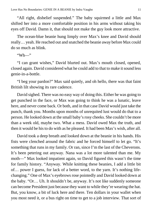"All right, disbelief suspended." The baby squirmed a little and Max shifted her into a more comfortable position in his arms without taking his eyes off David. Damn it, that should not make the guy look more attractive.

The ocean-blue beanie hung limply over Max's knee and David should really… yeah. He reached out and snatched the beanie away before Max could do so much as blink.

"Wh—"

"I can grant wishes," David blurted out. Max's mouth closed, opened, closed again. David considered what he could add to that to make it sound less genie-in-a-bottle.

"I beg your pardon?" Max said quietly, and oh hello, there was that faint British lilt showing its rare cadence.

David sighed. There was no easy way of doing this. Either he was going to get punched in the face, or Max was going to think he was a lunatic, leave here, and never come back. Or both, and in that case David would just take the punch, thank you. Months upon months of unrequited lust would do that to a person. He looked down at the small baby's rosy cheeks. She couldn't be more than a week old, maybe two. What a mess. David owed Max the truth, and then it would be his to do with as he pleased. It had been Max's wish, after all.

David took a deep breath and looked down at the beanie in his hands. His fists were clenched around the fabric and he forced himself to let go. "It's something that runs in my family. Or ran, since I'm the last of the Cheverons. It's been petering out anyway. Nana was a lot more talented than me. My moth—" Max looked impatient again, so David figured this wasn't the time for family history. "Anyway. While knitting these beanies, I add a little bit of… power I guess, for lack of a better word, to the yarn. It's nothing lifechanging." One of Max's eyebrows rose pointedly and David looked down at the baby. "Or… Uh. It shouldn't be, anyway. It's not like suddenly someone can become President just because they want to while they're wearing the hat. But, you know, a bit of luck here and there. Ten dollars in your wallet when you most need it, or a bus right on time to get to a job interview. That sort of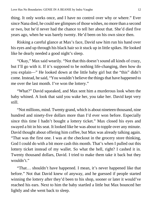thing. It only works once, and I have no control over why or where." Ever since Nana died, he could see glimpses of those wishes, no more than a second or two, but he'd never had the chance to tell her about that. She'd died five years ago, when he was barely twenty. He'd been on his own since then.

Risking a careful glance at Max's face, David saw him run his hand over his eyes and up through his black hair so it stuck up in little spikes. He looked like he dearly needed a good night's sleep.

"Okay," Max said wearily. "Not that this doesn't sound all kinds of crazy, but I'll go with it. If it's supposed to be nothing life-changing, then how do you explain—" He looked down at the little baby girl but the "this" didn't come. Instead, he said, "You wouldn't believe the things that have happened to me over the last month. I've won the lottery."

"What?" David squeaked, and Max sent him a murderous look when the baby whined. A look that said you wake her, you take her. David kept very still.

"Not millions, mind. Twenty grand, which is about nineteen thousand, nine hundred and ninety-five dollars more than I'd ever won before. Especially since this time I hadn't bought a lottery ticket." Max closed his eyes and swayed a bit in his seat. It looked like he was about to topple over any minute. David thought about offering him coffee, but Max was already talking again. "That was the first one. I was at the checkout in the grocery store thinking, God I could do with a bit more cash this month. That's when I pulled out this lottery ticket instead of my wallet. So what the hell, right? I cashed it in. Twenty thousand dollars, David. I tried to make them take it back but they wouldn't."

"That… shouldn't have happened. I mean, it's never happened like that before." Not that David knew of anyway, and he guessed if people started winning the lottery after they'd been to his shop, sooner or later it would've reached his ears. Next to him the baby startled a little but Max bounced her lightly and she went back to sleep.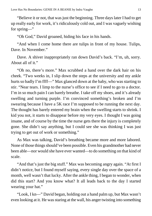"Believe it or not, that was just the beginning. Three days later I had to get up really early for work, it's ridiculously cold out, and I was vaguely wishing for spring—"

"Oh God," David groaned, hiding his face in his hands.

"And when I come home there are tulips in front of my house. Tulips, Dave. In November."

Dave. A shiver inappropriately ran down David's back. "I'm, uh, sorry. About all of it."

"Oh no, there's more." Max scrubbed a hand over the dark hair on his cheek. "Two weeks in, I slip down the steps at the university and my ankle hurts so badly I'm ffff—" Max glanced down at the baby, who was starting to stir. "Near tears. I limp to the nurse's office to see if I need to go to a doctor. I'm in so much pain I can barely breathe. I take off my shoes, and it's already swelling and turning purple. I'm convinced something's broken and I'm swearing because I have a 5K race I'm supposed to be running the next day. The thought has barely entered my brain when the swelling starts to shrink. I kid you not, it starts to disappear before my very eyes. I thought I was going insane, and of course by the time the nurse gets there the injury is completely gone. She didn't say anything, but I could see she was thinking I was just trying to get out of work or something."

As Max was talking, David's breathing became more and more labored. None of those things should've been possible. Even his grandmother had never been able—nor would she have ever wanted—to do something on that kind of scale.

"And that's just the big stuff." Max was becoming angry again. "At first I didn't notice, but I found myself saying, every single day over the space of a month, well wasn't that lucky. After the ankle thing, I began to wonder, when did this start? And you know what? It all leads back to the day I started wearing your hat."

"Look, I kn—" David began, holding out a hand palm up, but Max wasn't even looking at it. He was staring at the wall, his anger twisting into something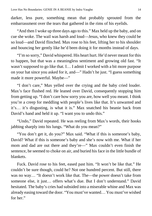darker, less pure, something mean that probably sprouted from the embarrassment over the tears that gathered in the rims of his eyelids.

"And then I woke up three days ago to this." Max held up the baby, and on cue she woke. The wail was harsh and loud—Jesus, who knew they could be so loud—and David flinched. Max rose to his feet, lifting her to his shoulder and bouncing her gently like he'd been doing it for months instead of days.

"I'm so sorry," David whispered. His heart hurt. He'd never meant for this to happen, but that was a meaningless sentiment and growing old fast. "It wasn't supposed to go like that. I… I admit I worked with a bit more purpose on your hat since you asked for it, and—" Hadn't he just. "I guess something made it more powerful. Maybe—"

"I don't care," Max yelled over the crying and the baby cried louder. Max's face flushed red. He leaned over David, consequently stopping him from getting up. "I don't care how sorry you are, how well you meant. I think you're a creep for meddling with people's lives like that. It's unwanted and it's… it's disgusting, is what it is." Max snatched his beanie back from David's hand and held it up. "I want you to undo this."

"Undo," David repeated. He was reeling from Max's words, their hooks jabbing sharply into his lungs. "What do you mean?"

"You don't get it, do you?" Max said. "What if this is someone's baby, David? What if this is someone's baby and she's now with me. What if her mom and dad are out there and they're—" Max couldn't even finish the sentence, he seemed to choke on air, and buried his face in the little bundle of blankets.

Fuck. David rose to his feet, eased past him. "It won't be like that." He couldn't be sure though, could he? Not one hundred percent. But still, there was no way… "It doesn't work like that. The—the power doesn't take from someone else, it just… offers what's due. But I don't understand." David hesitated. The baby's cries had subsided into a miserable whine and Max was already easing toward the door. "You must've wanted… You must've wished for her."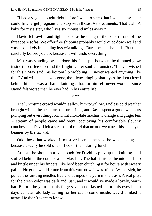"I had a vague thought right before I went to sleep that I wished my sister could finally get pregnant and stop with those IVF treatments. That's all. A baby for my sister, who lives six thousand miles away."

David felt awful and lightheaded as he clung to the back of one of the threadbare sofas. We offer free shipping probably wouldn't go down well and was most likely impending hysteria talking. "Burn the hat," he said. "But think carefully before you do, because it will undo everything."

Max was standing by the door, his face split between the dimmed glow inside the coffee shop and the bright winter sunlight outside. "I never wished for this," Max said, his bottom lip wobbling. "I never wanted anything like this." And with that he was gone, the silence ringing sharply as the door closed behind him. It was a shame knitting a hat for himself never worked, since David felt worse than he ever had in his entire life.

\*\*\*\*

The lunchtime crowd wouldn't allow him to wallow. Endless cold weather brought with it the need for comfort drinks, and David spent a good two hours pumping out everything from mint chocolate mochas to orange and ginger tea. A stream of people came and went, occupying his comfortable slouchy couches, and David felt a sick sort of relief that no one went near his display of beanies by the far wall.

Odd, how that worked. It must've been some vibe he was sending out because usually he sold one or two of them during lunch.

At last, the shop emptied enough for David to pick up the knitting he'd stuffed behind the counter after Max left. The half-finished beanie felt limp and brittle under his fingers, like he'd been clutching it for hours with sweaty palms. No good would come from this yarn now; it was ruined. With a sigh, he pulled the knitting needles free and dumped the yarn in the trash. A real pity, for the green color was dark and lush, and it would've made a lovely, warm hat. Before the yarn left his fingers, a scene flashed before his eyes like a daydream: an old lady calling for her cat to come inside. David blinked it away. He didn't want to know.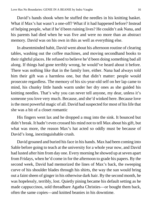David's hands shook when he stuffed the needles in his knitting basket. What if Max's hat wasn't a one-off? What if it had happened before? Instead of helping people, what if he'd been ruining lives? He couldn't ask Nana, and his parents had died when he was five and were no more than an abstract memory. David was on his own in this as well as everything else.

In absentminded habit, David went about his afternoon routine of clearing tables, washing out the coffee machines, and moving secondhand books to their rightful places. He refused to believe he'd been doing something bad all along. If things had gone terribly wrong, he would've heard about it before. There was nothing like that in the family lore, either. Nana had always told him their gift was a harmless one, but that didn't matter: people would prosecute regardless. The memory of his six-year-old self on her lap came to mind, his chunky little hands warm under her dry ones as she guided his knitting needles. That's why you can never tell anyone, my dear, unless it's someone you love very much. Because, and she'd winked here. Because love is the most powerful magic of all. David had suspected for most of his life that she was a bit of a closet romantic

His fingers went lax and he dropped a mug into the sink. It bounced but didn't break. It hadn't even crossed his mind not to tell Max about his gift, but what was more, the reason Max's hat acted so oddly must be because of David's long, inextinguishable crush.

David groaned and buried his face in his hands. Max had been coming into Sable before going to teach at the university for a whole year now, and David had lusted after him from day one. Every morning he showed up at seven apart from Fridays, when he'd come in for the afternoon to grade his papers. By the second week, David had memorized the lines of Max's back, the sweeping curve of his shoulder blades through his shirts, the way the sun would bring out a faint sheen of ginger in his otherwise dark hair. By the second month, he was hopelessly, terribly, lost. Quietly pining became his default setting as he made cappuccinos, sold threadbare Agatha Christies—or bought them back, often the same copies—and knitted beanies in his downtime.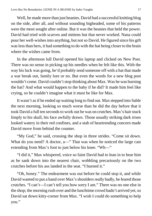Well, he made more than just beanies. David had a successful knitting blog on the side, after all, and without sounding bigheaded, some of his patterns were the most sought after online. But it was the beanies that held the power. David had tried with scarves and mittens but that never worked. Nana could pour her well-wishes into anything, but not so David. He figured since his gift was less than hers, it had something to do with the hat being closer to the brain where the wishes came from.

In the afternoon lull David opened his laptop and clicked on New Post. There was no sense in picking up his needles when he felt like this. With the way his luck was going, he'd probably send someone off with a hat that made a war break out, family lore or no. But even the words for a new blog post wouldn't come. David couldn't stop thinking about Max. Was he was burning the hat? And what would happen to the baby if he did? It made him feel like crying, so he couldn't imagine what it must be like for Max.

It wasn't as if he ended up waiting long to find out. Max stepped into Sable the next morning, looking so much worse than he did the day before that it took David a full ten seconds to work out he was on crutches. Max's hair stuck limply to his skull, his face awfully drawn. Those usually striking dark irises looked watery in their red confines, and a stab of heartrending concern made David move from behind the counter.

"My God," he said, crossing the shop in three strides. "Come sit down. What do you need? A doctor, a—" That was when he noticed the large cast extending from Max's foot to just below his knee. "Wh—"

"I did it," Max whispered, voice so faint David had to lean in to hear him as he sank down into the nearest chair, wobbling precariously on the two crutches before his ass landed in the seat. "I burned it."

"Oh, honey." The endearment was out before he could stop it, and while David wanted to put a hand over Max's shoulders really badly, he feared those crutches. "I can't—I can't tell you how sorry I am." There was no one else in the shop; the morning rush over and the lunchtime crowd hadn't arrived yet, so David sat down kitty-corner from Max. "I wish I could do something to help you."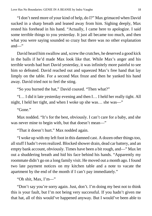"I don't need more of your kind of help, do I?" Max grimaced when David sucked in a sharp breath and leaned away from him. Sighing deeply, Max rested his forehead in his hand. "Actually, I came here to apologize. I said some terrible things to you yesterday. It just all became too much, and then what you were saying sounded so crazy but there was no other explanation and—"

David heard him swallow and, screw the crutches, he deserved a good kick in the balls if he'd made Max look like that. While Max's anger and his terrible words had hurt David yesterday, it was infinitely more painful to see him so defeated. David reached out and squeezed Max's free hand that lay limply on the table. For a second Max froze and then he yanked his hand away. David tried not to feel the sting.

"So you burned the hat," David coaxed. "Then what?"

"I… I did it late yesterday evening and then I… I held her really tight. All night, I held her tight, and when I woke up she was… she was—"

"Gone."

Max nodded. "It's for the best, obviously. I can't care for a baby, and she was never mine to begin with, but that doesn't mean—"

"That it doesn't hurt." Max nodded again.

"I woke up with my left foot in this damned cast. A dozen other things too, all stuff I hadn't even realized. Blocked shower drain, dead car battery, and an empty bank account, obviously. Times have been a bit rough, and—" Max let out a shuddering breath and hid his face behind his hands. "Apparently my roommate didn't go on a long family visit. He moved out a month ago. I found two late payment notices on my kitchen table and a note to vacate the apartment by the end of the month if I can't pay immediately."

"Oh shit, Max, I'm—"

"Don't say you're sorry again. Just, don't. I'm doing my best not to think this is your fault, but I'm not being very successful. If you hadn't given me that hat, all of this would've happened anyway. But I would've been able to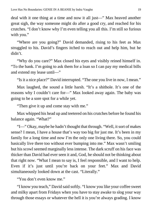deal with it one thing at a time and now it all just—" Max heaved another great sigh, the way someone might do after a good cry, and reached for his crutches. "I don't know why I'm even telling you all this. I'm still so furious with you."

"Where are you going?" David demanded, rising to his feet as Max struggled to his. David's fingers itched to reach out and help him, but he didn't.

"Why do you care?" Max closed his eyes and visibly reined himself in. "To the bank. I'm going to ask them for a loan so I can pay my medical bills and extend my lease until—"

"Is it a nice place?" David interrupted. "The one you live in now, I mean."

Max laughed, the sound a little harsh. "It's a shithole. It's one of the reasons why I couldn't care for—" Max looked away again. The baby was going to be a sore spot for a while yet.

"Then give it up and come stay with me."

Max whipped his head up and teetered on his crutches before he found his balance again. "What?"

"I—" Okay, maybe he hadn't thought that through. "Well, it sort of makes sense? I mean, I have a house that's way too big for just me. It's been in my family for a long time and now I'm the only one living there. So, you could basically live there too without ever bumping into me." Max wasn't smiling but his scowl seemed marginally less intense. The dark scruff on his face was thicker than David had ever seen it and, God, he should not be thinking about that right now. "What I mean to say is, I feel responsible, and I want to help. Even if it's just until you're back on your feet." Max and David simultaneously looked down at the cast. "Literally."

"You don't even know me."

"I know you teach," David said softly. "I know you like your coffee sweet and milky apart from Fridays when you have to stay awake to slog your way through those essays or whatever the hell it is you're always grading. I know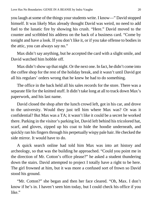you laugh at some of the things your students write. I know—" David stopped himself. It was likely Max already thought David was weird, no need to add fuel to the lunatic fire by showing his crush. "Here." David moved to the counter and scribbled his address on the back of a business card. "Come by tonight and have a look. If you don't like it, or if you take offense to bodies in the attic, you can always say no."

Max didn't say anything, but he accepted the card with a slight smile, and David watched him hobble off.

Max didn't show up that night. Or the next one. In fact, he didn't come into the coffee shop for the rest of the holiday break, and it wasn't until David got all his regulars' orders wrong that he knew he had to do something.

The office in the back held all his sales records for the store. There was a separate file for the knitted stuff. It didn't take long at all to track down Max's paperwork, and his last name.

David closed the shop after the lunch crowd left, got in his car, and drove to the university. Would they just tell him where Max was? Or was it confidential? But Max was a TA; it wasn't like it could be a secret he worked there. Parking in the visitor's parking lot, David left behind his tricolored hat, scarf, and gloves, zipped up his coat to hide the hoodie underneath, and quickly ran his fingers through his perpetually wispy pale hair. He checked the side mirror. It would have to do.

A quick search online had told him Max was into art history and archeology, so that was the building he approached. "Could you point me in the direction of Mr. Cotton's office please?" he asked a student thundering down the stairs. David attempted to project I totally have a right to be here. The girl frowned at him, but it was more a confused sort of frown so David stood his ground.

"Mr. Cotton?" she began and then her face cleared. "Oh, Max. I don't know if he's in. I haven't seen him today, but I could check his office if you like."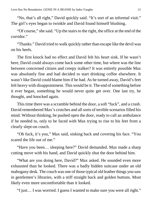"No, that's all right," David quickly said. "It's sort of an informal visit." The girl's eyes began to twinkle and David found himself blushing.

"Of course," she said. "Up the stairs to the right, the office at the end of the corridor."

"Thanks." David tried to walk quickly rather than escape like the devil was on his heels.

The first knock had no effect and David felt his heart sink. If he wasn't here, David could always come back some other time, but where was the line between concerned citizen and creepy stalker? It was entirely possible Max was absolutely fine and had decided to start drinking coffee elsewhere. It wasn't like David could blame him if he had. As he turned away, David's feet felt heavy with disappointment. This would be it. The end of something before it ever began, something he would never quite get over. One last try, he thought, and knocked again.

This time there was a scramble behind the door, a soft "fuck", and a crash. David remembered Max's crutches and all sorts of terrible scenarios filled his mind. Without thinking, he pushed open the door, ready to call an ambulance if he needed to, only to be faced with Max trying to rise to his feet from a clearly slept-on couch.

"Oh fuck, it's you," Max said, sinking back and covering his face. "You scared the life out of me."

"Have you been… sleeping here?" David demanded. Max made a sharp cutting move with his hand, and David quickly shut the door behind him.

"What are you doing here, David?" Max asked. He sounded even more exhausted than he looked. There was a badly hidden suitcase under an old mahogany desk. The couch was one of those typical old leather things you saw in gentlemen's libraries, with a stiff straight back and golden buttons. Most likely even more uncomfortable than it looked.

"I just… I was worried. I guess I wanted to make sure you were all right."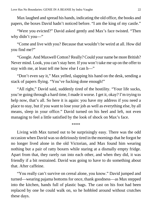Max laughed and spread his hands, indicating the old office, the books and papers, the boxes David hadn't noticed before. "I am the king of my castle."

"Were you evicted?" David asked gently and Max's face twisted. "Then why didn't you-"

"Come and live with you? Because that wouldn't be weird at all. How did you find me?"

"Google. And Maxwell Cotton? Really? Could your name be more British? Never mind. Look, you can't stay here. If you won't take me up on the offer to stay with me, at least tell me how else I can h—"

"Don't even say it," Max yelled, slapping his hand on the desk, sending a stack of papers flying. "You've fucking done enough!"

"All right," David said, suddenly tired of the hostility. "Your life sucks, you're going through a hard time, I made it worse. I get it, okay? I'm trying to help now, that's all. So here it is again: you have my address if you need a place to stay, but if you want to lose your job as well as everything else, by all means, sleep in your office." David turned on his heel and left, not even managing to feel a little satisfied by the look of shock on Max's face.

\*\*\*\*

Living with Max turned out to be surprisingly easy. There was the odd occasion when David was so deliriously tired in the mornings that he forgot he no longer lived alone in the old Victorian, and Max found him wearing nothing but a pair of ratty boxers while staring at a dismally empty fridge. Apart from that, they rarely ran into each other, and when they did, it was friendly if a bit restrained. David was going to have to do something about that. After caffeine.

"You really can't survive on cereal alone, you know." David jumped and turned—wearing pajama bottoms for once, thank goodness—as Max stepped into the kitchen, hands full of plastic bags. The cast on his foot had been replaced by one he could walk on, so he hobbled around without crutches these days.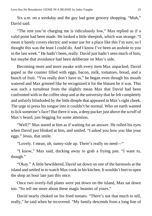Six a.m. on a weekday and the guy had gone grocery shopping. "Muh," David said.

"The rent you're charging me is ridiculously low," Max replied as if a valid point had been made. He looked a little sheepish, which was strange. "I mean it barely covers electric and water use for a place like this I'm sure, so I thought this was the least I could do. And I know I've been an asshole to you in the last week." He hadn't been, really. David just hadn't seen much of him, but maybe that avoidance had been deliberate on Max's side.

Becoming more and more awake with every item Max unpacked, David gaped as the counter filled with eggs, bacon, milk, tomatoes, bread, and a bunch of fruit. "You really don't have to," he began even though his mouth watered and Max grinned like he recognized it for the blatant lie it was. This was such a turnabout from the slightly mean Max that David had been confronted with in the coffee shop and at the university that he felt completely and unfairly blindsided by the little dimple that appeared in Max's right cheek. The urge to press his tongue into it couldn't be normal. Who on earth wanted to lick someone's face? But there it was, a deep pucker just above the scruff of Max's beard, just begging for some attention.

"Well?" Max stared at him as if waiting for an answer. He rolled his eyes when David just blinked at him, and smiled. "I asked you how you like your eggs." Jesus, that smile.

"Lovely. I mean, uh, sunny-side up. There's really no need—"

"I know," Max said, ducking away to grab a frying pan. "I want to, though."

"Okay." A little bewildered, David sat down on one of the barstools at the island and settled in to watch Max cook in his kitchen. It wouldn't hurt to open the shop an hour late just this once.

Once two overly-full plates were put down on the island, Max sat down too. "So tell me more about these magic beanies of yours."

David nearly choked on his fried tomato. "There's not that much to tell, really," he said when he recovered. "My family descends from a long line of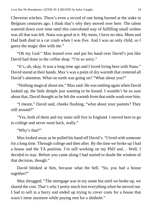Cheveron witches. There's even a record of one being burned at the stake in Belgium centuries ago. I think that's why they moved over here. The talent watered down over time until this convoluted way of fulfilling small wishes was all that was left. Nana was good at it. My mom, I have no idea. Mom and Dad both died in a car crash when I was five. And I was an only child, so I guess the magic dies with me."

"Oh my God." Max leaned over and put his hand over David's just like David had done in the coffee shop. "I'm so sorry."

"It's, uh, okay. It was a long time ago and I loved living here with Nana." David stared at their hands. Max's was a point of dry warmth that centered all David's attention. What on earth was going on? "What about you?"

"Nothing magical about me," Max said. He was smiling again when David looked up, the little dimple just wanting to be kissed. I wouldn't be so sure about that, David thought as he felt the warmth from that smile wash over him.

"I meant," David said, cheeks flushing, "what about your parents? They still around?"

"Yes, both of them and my sister still live in England. I moved here to go to college and never went back, really."

"Why's that?"

Max looked away as he pulled his hand off David's. "I lived with someone for a long time. Through college and then after. By the time we broke up I had a house and the TA position. I'm still working on my PhD and… Well, I decided to stay. Before you came along I had started to doubt the wisdom of that decision, though."

David blinked at him, because what the hell. "So, you had a house together?"

Max shrugged. "The mortgage was in my name but until we broke up, we shared the cost. That's why I pretty much lost everything when he moved out. I had to sell in a hurry and ended up trying to cover costs for a house that wasn't mine anymore while paying rent for a shithole."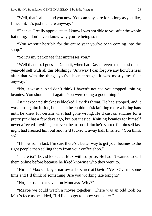"Well, that's all behind you now. You can stay here for as long as you like, I mean it. It's just me here anyway."

"Thanks, I really appreciate it. I know I was horrible to you after the whole hat thing. I don't even know why you're being so nice."

"You weren't horrible for the entire year you've been coming into the shop."

"So it's my patronage that impresses you."

"Well that too, I guess." Damn it, when had David reverted to his sixteenyear-old self with all this blushing? "Anyway I can forgive any horribleness after that with the things you've been through. It was mostly my fault anyway."

"No, it wasn't. And don't think I haven't noticed you stopped knitting beanies. You should start again. You were doing a good thing."

An unexpected thickness blocked David's throat. He had stopped, and it was hurting him inside, but he felt he couldn't risk knitting more wishing hats until he knew for certain what had gone wrong. He'd cast on stitches for a pretty pink hat a few days ago, but put it aside. Knitting beanies for himself never affected anything, but even the maroon brim he'd started for himself last night had freaked him out and he'd tucked it away half finished. "You think so?"

"I know so. In fact, I'm sure there's a better way to get your beanies to the right people than selling them from your coffee shop."

"There is?" David looked at Max with surprise. He hadn't wanted to sell them online before because he liked knowing who they went to.

"Hmm," Max said, eyes narrow as he stared at David. "Yes. Give me some time and I'll think of something. Are you working late tonight?"

"No, I close up at seven on Mondays. Why?"

"Maybe we could watch a movie together." There was an odd look on Max's face as he added, "I'd like to get to know you better."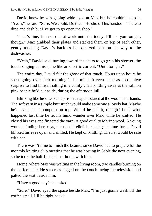David knew he was gaping wide-eyed at Max but he couldn't help it. "Yeah," he said. "Sure. We could. Do that." He slid off his barstool. "I hate to dine and dash but I've got to go open the shop."

"That's fine, I'm not due at work until ten today. I'll see you tonight, though." Max grabbed their plates and stacked them on top of each other, gently touching David's back as he squeezed past on his way to the dishwasher.

"Yeah," David said, turning toward the stairs to go grab his shower, the touch zinging up his spine like an electric current. "Until tonight."

The entire day, David felt the ghost of that touch. Hours upon hours he spent going over their morning in his mind. It even came as a complete surprise to find himself sitting in a comfy chair knitting away at the salmon pink beanie he'd put aside, during the afternoon lull.

Blinking like he'd woken up from a nap, he stared at the wool in his hands. The soft yarn in a simple knit stitch would make someone a lovely hat. Maybe he'd even put a pompom on top. Would he sell it, though? Look what happened last time he let his mind wander over Max while he knitted. He closed his eyes and fingered the yarn. A good quality Merino wool. A young woman finding her keys, a rush of relief, her being on time for… David blinked his eyes open and smiled. He kept on knitting. The hat would be safe with her.

There wasn't time to finish the beanie, since David had to prepare for the monthly knitting club meeting that he was hosting in Sable the next evening, so he took the half-finished hat home with him.

Home, where Max was waiting in the living room, two candles burning on the coffee table. He sat cross-legged on the couch facing the television and patted the seat beside him.

"Have a good day?" he asked.

"Sure." David eyed the space beside Max. "I'm just gonna wash off the coffee smell. I'll be right back."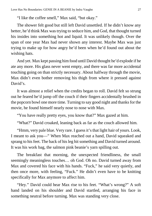"I like the coffee smell," Max said, "but okay."

The shower felt good but still left David unsettled. If he didn't know any better, he'd think Max was trying to seduce him, and God, that thought turned his insides into something hot and liquid. It was unlikely though. Over the span of one year Max had never shown any interest. Maybe Max was just trying to make up for how angry he'd been when he'd found out about the wishing hats.

And yet. Max kept passing him food until David thought he'd explode if he ate any more. His glass never went empty, and there was far more accidental touching going on than strictly necessary. About halfway through the movie, Max didn't even bother removing his thigh from where it pressed against David's.

It was almost a relief when the credits began to roll. David felt so strung out he feared he'd jump off the couch if their fingers accidentally brushed in the popcorn bowl one more time. Turning to say good night and thanks for the movie, he found himself nearly nose to nose with Max.

"You have really pretty eyes, you know that?" Max gazed at him.

"What?" David croaked, leaning back as far as the couch allowed him.

"Hmm, very pale blue. Very rare. I guess it's that light hair of yours. Look, I meant to ask you—" When Max reached out a hand, David squeaked and sprang to his feet. The back of his leg hit something and David turned around. It was his work bag, the salmon pink beanie's yarn spilling out.

The breakfast that morning, the unexpected friendliness, the small seemingly meaningless touches… oh God. Oh no. David turned away from Max and covered his face with his hands. "Fuck," he said very quietly, and then once more, with feeling, "Fuck." He didn't even have to be knitting specifically for Max anymore to affect him.

"Hey." David could hear Max rise to his feet. "What's wrong?" A soft hand landed on his shoulder and David startled, arranging his face in something neutral before turning. Max was standing very close.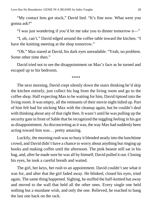"My contact lens got stuck," David lied. "It's fine now. What were you gonna ask?"

"I was just wondering if you'd let me take you to dinner tomorrow n—"

"I, uh, can't." David edged around the coffee table toward the kitchen. "I have the knitting meeting at the shop tomorrow."

"Oh." Max stared at David, his dark eyes unreadable. "Yeah, no problem. Some other time then."

David tried not to see the disappointment on Max's face as he turned and escaped up to his bedroom.

\*\*\*\*

The next morning, David crept silently down the stairs thinking he'd skip the kitchen entirely, just collect his bag from the living room and go to the coffee shop. Half expecting Max to be waiting for him, David tiptoed into the living room. It was empty, all the remnants of their movie night tidied up. Part of him felt bad for sticking Max with the cleanup again, but he couldn't deal with thinking about any of that right then. It wasn't until he was pulling up the security gate in front of Sable that he recognized the niggling feeling in his gut as disappointment. As disconcerting as it was, the way Max had suddenly been acting toward him was… pretty amazing.

Luckily, the morning rush was so busy it blended neatly into the lunchtime crowd, and David didn't have a chance to worry about anything but ringing up books and making coffee until the afternoon. The pink beanie still sat in his bag, and, after he made sure he was all by himself, David pulled it out. Closing his eyes, he took a careful breath and waited.

The girl, her keys, her rush to an appointment. David couldn't see what it was for, and after that the girl faded away. He blinked, closed his eyes, tried again. The same thing happened. Sighing, he stuffed the half-knitted hat away and moved to the wall that held all the other ones. Every single one held nothing but a mundane wish, and only the one. Relieved, he reached to hang the last one back on the rack.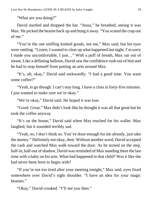"What are you doing?"

David startled and dropped the hat. "Jesus," he breathed, seeing it was Max. He picked the beanie back up and hung it away. "You scared the crap out of me."

"You're the one sniffing knitted goods, not me," Max said, but his eyes were smiling. "Listen, I wanted to clear up what happened last night. I'm sorry I made you uncomfortable, I just…" With a puff of breath, Max ran out of steam. Like a deflating balloon, David saw the confidence rush out of him and he had to stop himself from putting an arm around Max.

"It's, uh, okay," David said awkwardly. "I had a good time. You want some coffee?"

"Yeah, to go though. I can't stay long. I have a class in forty-five minutes. I just wanted to make sure we're okay."

"We're okay," David said. He hoped it was true.

"Good. Great." Max didn't look like he thought it was all that great but he took the coffee anyway.

"It's on the house," David said when Max reached for his wallet. Max laughed, but it sounded terribly sad.

"Yeah, no, I don't think so. You've done enough for me already, just take the money." Definitely not okay, then. Without another word, David accepted the cash and watched Max walk toward the door. As he turned on the step, half-in, half-out of shadow, David was reminded of Max standing there the last time with a baby on his arm. What had happened to that child? Was it like she had never been born to begin with?

"If you're not too tired after your meeting tonight," Max said, eyes fixed somewhere over David's right shoulder. "I have an idea for your magic beanies."

"Okay," David croaked. "I'll see you then."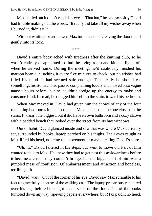Max smiled but it didn't reach his eyes. "That hat," he said so softly David had trouble making out the words. "It really did take all my wishes away when I burned it, didn't it?"

Without waiting for an answer, Max turned and left, leaving the door to fall gently into its lock.

\*\*\*\*

David's entire body ached with tiredness after the knitting club, so he wasn't entirely disappointed to find the living room and kitchen lights off when he arrived home. During the meeting, he'd cautiously finished his maroon beanie, clutching it every five minutes to check, but no wishes had filled his mind. It had seemed safe enough. Technically he should eat something; his stomach had passed complaining loudly and moved onto vague nausea hours before, but he couldn't dredge up the energy to make and consume food. Instead, he dragged himself up the stairs toward his bedroom.

When Max moved in, David had given him the choice of any of the four remaining bedrooms in the house, and Max had chosen the one closest to the stairs. It wasn't the biggest, but it did have its own bathroom and a cozy alcove with a padded bench that looked over the street from its bay windows.

Out of habit, David glanced inside and saw that was where Max currently sat, surrounded by books, laptop perched on his thighs. Their eyes caught as Max lifted his head, noticing the movement or maybe feeling David's stare.

"Uh, hi." David faltered in his steps, but went to move on. Part of him wanted to talk to Max. He knew they had to get past this awkwardness before it became a chasm they couldn't bridge, but the bigger part of him was a jumbled mess of confusion. Of embarrassment and attraction and hopeless, terrible guilt.

"David, wait." Out of the corner of his eye, David saw Max scramble to his feet ungracefully because of the walking cast. The laptop precariously teetered over his legs before he caught it and set it on the floor. One of the books tumbled down anyway, spewing papers everywhere, but Max paid it no heed.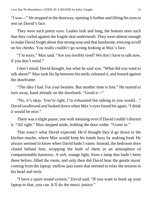"I was—" He stopped in the doorway, opening it further and lifting his eyes to rest on David's face.

They were such pretty eyes. Lashes lush and long, the bottom ones such that they curled against the fragile skin underneath. They were almost enough to make David forget about that strong nose and that handsome, enticing scruff on his cheeks. You really couldn't go wrong looking at Max's face.

"I'm sorry," Max said. "Are you terribly tired? We don't have to talk now, if you don't mind."

I don't mind, David thought, but what he said was, "What did you want to talk about?" Max took his lip between his teeth, released it, and leaned against the doorframe.

"The idea I had. For your beanies. But another time is fine." He started to turn away, hand already on the doorknob. "Good n—"

"No, it's okay. You're right, I'm exhausted but talking to you would…" David swallowed and looked down when Max's eyes found his again. "I think it would be nice."

There was a slight pause, one with meaning even if David couldn't discern it. "All right." Max stepped aside, holding the door wider. "Come in."

That wasn't what David expected. He'd thought they'd go down to the kitchen maybe, where Max would keep his hands busy by making food. He always seemed to know when David hadn't eaten. Instead, the bedroom door closed behind him, wrapping the both of them in an atmosphere of companionable harmony. A soft, orange light, from a lamp that hadn't been there before, filled the room, and only then did David hear the gentle music coming from the laptop: mellow jazz tones that seemed to relax the tension in his head and neck.

"I have a spare sound system," David said. "If you want to hook up your laptop to that, you can. It'll do the music justice."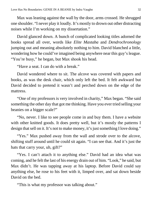Max was leaning against the wall by the door, arms crossed. He shrugged one shoulder. "I never play it loudly. It's mostly to drown out other distracting noises while I'm working on my dissertation."

David glanced down. A bunch of complicated looking titles adorned the books spread all over, words like *Elite Mastaba* and *Dendrochronology* jumping out and meaning absolutely nothing to him. David blanched a little, wondering how he could've imagined being anywhere near this guy's league. "You're busy," he began, but Max shook his head.

"Have a seat. I can do with a break."

David wondered where to sit. The alcove was covered with papers and books, as was the desk chair, which only left the bed. It felt awkward but David decided to pretend it wasn't and perched down on the edge of the mattress.

"One of my professors is very involved in charity," Max began. "She said something the other day that got me thinking. Have you ever tried selling your beanies on a bigger scale?"

"No, never. I like to see people come in and buy them. I have a website with other knitted goods. It does pretty well, but it's mostly the patterns I design that sell on it. It's not to make money, it's just something I love doing."

"Yes." Max pushed away from the wall and strode over to the alcove, shifting stuff around until he could sit again. "I can see that. And it's just the hats that carry your, uh, gift?"

"Yes. I can't attach it to anything else." David had an idea what was coming, and he felt the last of his energy drain out of him. "Look," he said, but Max didn't. He was tapping away at his laptop. Before David could say anything else, he rose to his feet with it, limped over, and sat down beside David on the bed.

"This is what my professor was talking about."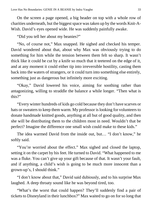On the screen a page opened, a big header on top with a whole row of charities underneath, but the biggest space was taken up by the words Knit-A-Wish. David's eyes opened wide. He was suddenly painfully awake.

"Did you tell her about my beanies?"

"No, of course not," Max snapped. He sighed and checked his temper. David wondered about that, about why Max was obviously trying to do something for him while the tension between them felt so sharp. It wasn't thick like it could be cut by a knife so much that it teetered on the edge of it, and at any moment it could either tip into irreversible hostility, casting them back into the waters of strangers, or it could turn into something else entirely, something just as dangerous but infinitely more exciting.

"Okay," David lowered his voice, aiming for soothing rather than antagonizing, willing to straddle the balance a while longer. "Then what is this?"

"Every winter hundreds of kids go cold because they don't have scarves or hats or sweaters to keep them warm. My professor is looking for volunteers to donate handmade knitted goods, anything at all but of good quality, and then she will be distributing them to the children most in need. Wouldn't that be perfect? Imagine the difference one small wish could make to these kids."

The idea warmed David from the inside out, but… "I don't know," he softly said.

"You're worried about the effect." Max sighed and closed the laptop, setting it on the carpet by his feet. He turned to David. "What happened to me was a fluke. You can't give up your gift because of that. It wasn't your fault, and if anything, a child's wish is going to be much more innocent than a grown-up's, I should think."

"I don't know about that," David said dubiously, and to his surprise Max laughed. A deep throaty sound like he was beyond tired, too.

"What's the worst that could happen? They'll suddenly find a pair of tickets to Disneyland in their lunchbox?" Max waited to go on for so long that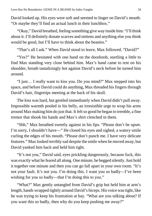David looked up. His eyes were soft and seemed to linger on David's mouth. "Or maybe they'll find an actual lunch in their lunchbox."

"Okay," David breathed, feeling something give way inside him. "I'll think about it. I'll definitely donate scarves and mittens and anything else you think would be good, but I'll have to think about the beanies."

"That's all I ask." When David stood to leave, Max followed. "David?"

"Yes?" He hesitated with one hand on the doorknob, startling a little to find Max standing very close behind him. Max's hand came to rest on his shoulder, breath tantalizingly hot against David's neck before he turned him around.

"I just… I really want to kiss you. Do you mind?" Max stepped into his space, and before David could do anything, Max threaded his fingers through David's hair, fingertips meeting at the back of his skull.

The kiss was hard, but gentled immediately when David didn't pull away. Impossible warmth pooled in his belly, an irresistible urge to wrap his arms around Max making him do just that. It felt so good he began to tremble, a fine tremor that shook his hands and Max's shirt clenched in them.

"Shh," Max breathed sweetly against in his lips. "Please don't be upset. I'm sorry, I shouldn't have—" He closed his eyes and sighed, a watery smile curling the edges of his mouth. "Please don't punch me. I have very delicate features." Max looked terribly sad despite the smile when he moved away, but David yanked him back and held him tight.

"It's not you," David said, eyes prickling dangerously, because fuck, this was exactly what he feared all along. One minute, he begged silently. Just hold it together one minute and then you can go fall apart in your own room. "It's not your fault. It's not you. I'm doing this. I want you so badly—I've been wishing for you so badly—that I'm doing this to you."

"What?" Max gently untangled from David's grip but held him at arm's length, hands wrapped tightly around David's biceps. His voice was tight, like he was trying to keep his frustration at bay. "What are you talking about? If you want this so badly, then why do you keep pushing me away?"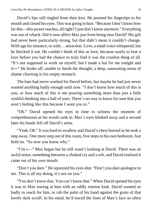David's lips still tingled from their kiss. He pressed his fingertips to his mouth and closed his eyes. This was going to hurt. "Because I don't know how far this—this power reaches, all right? I just don't know anymore." Everything was out of whack. Did it now affect Max just from being near David? His gift had never been particularly strong, but that didn't mean it couldn't change. With age for instance, or with... attraction. Love, a small voice whispered, but he blocked it out. He couldn't think of this as love, because surely to lose a love before you had the chance to truly find it was the cruelest thing of all. "It's not supposed to work on myself, but I made a hat for me tonight and it―" He broke off, unable to finish the thought, a deep, nauseating sense of shame churning in his empty stomach.

The hats had never worked for David before, but maybe he had just never wanted anything badly enough until now. "I don't know how much of this is you, or how much of this is me pouring something more than just a little wishful thinking into a ball of yarn. There's no way to know for sure that you aren't feeling like this because I want you to."

"Oh." David opened his eyes in time to witness the moment of comprehension as his words sank in. Max's eyes blinked away and a second later his hands fell off David's arms.

"Yeah. Oh." It was hard to swallow and David's chest burned as he took a step away. One more step out of this room, five steps to his own bedroom. Just hold on. "So now you know why."

"I'm s—" Max began but he still wasn't looking at David. There was an awful noise, something between a choked cry and a sob, and David realized it came out of his own mouth.

"Don't you dare." He squeezed his eyes shut. "Don't you dare apologize to me. This is all my doing, it's not on you."

"You don't know that. You can't know that." When David opened his eyes it was to Max staring at him with an oddly intense look. David wanted so badly to reach for him, to rub the palm of his hand against the grain of that lovely dark scruff. In his mind, he'd traced the lines of Max's face so often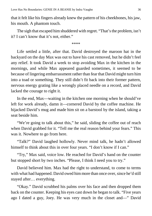that it felt like his fingers already knew the pattern of his cheekbones, his jaw, his mouth. A phantom touch.

The sigh that escaped him shuddered with regret. "That's the problem, isn't it? I can't know that it's not, either."

\*\*\*\*

Life settled a little, after that. David destroyed the maroon hat in the backyard on the day Max was out to have his cast removed, but he didn't feel any relief. It took David a week to stop avoiding Max in the kitchen in the mornings, and while Max appeared guarded sometimes, it seemed to be because of lingering embarrassment rather than fear that David might turn him into a toad or something. They still didn't fit back into their former pattern, nervous energy grating like a wrongly placed needle on a record, and David lacked the courage to right it.

In the end, Max—waiting in the kitchen one morning when he should've left for work already, damn it—cornered David by the coffee machine. He hijacked David's mug and made him sit on a barstool by the island, taking a seat beside him.

"We're going to talk about this," he said, sliding the coffee out of reach when David grabbed for it. "Tell me the real reason behind your fears." This was it. Nowhere to go from here.

"Talk?" David laughed hollowly. Never mind talk, he hadn't allowed himself to think about this in over four years. "I don't know if I can."

"Try," Max said, voice low. He reached for David's hand on the counter but stopped short by two inches. "Please, I think I need you to try."

David believed him. Max had the right to understand, to come to terms with what had happened. David owed him more than once over, since he'd still stayed after… everything.

"Okay." David scrubbed his palms over his face and then dropped them back on the counter. Keeping his eyes cast down he began to talk. "Five years ago I dated a guy, Joey. He was very much in the closet and—" David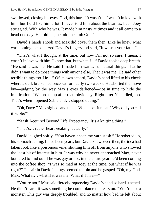swallowed, closing his eyes. God, this hurt. "It wasn't… I wasn't in love with him, but I did like him a lot. I never told him about the beanies, but—Joey struggled. With who he was. It made him nasty at times and it all came to a head one day. He told me, he told me—oh God."

David's hands shook and Max did cover them then. Like he knew what was coming, he squeezed David's fingers and said, "It wasn't your fault."

"That's what I thought at the time, but now I'm not so sure. I mean, I wasn't in love with him, I know that, but what if—" David took a deep breath. "He said it was me. He said I made him want… unnatural things. That he didn't want to do those things with anyone else. That it was me. He said other terrible things too. He—" Of its own accord, David's hand lifted to his cheek where a dark bruise had once sat for nearly two weeks. He aborted the move but—judging by the way Max's eyes darkened—not in time to hide the implication. "We broke up after that, obviously. Right after Nana died, too. That's when I opened Sable and… stopped dating."

"Oh, Dave." Max sighed, and then, "What does it mean? Why did you call it Sable?"

"Stash Acquired Beyond Life Expectancy. It's a knitting thing."

"That's… rather heartbreaking, actually."

David laughed softly. "You haven't seen my yarn stash." He sobered up, his stomach aching. It had been years, but David knew, even then, the idea had taken root, like a poisonous vine, shutting him off from anyone who showed the least bit of interest in him. It was why he never approached Max, never bothered to find out if he was gay or not, in the entire year he'd been coming into the coffee shop. "I was so mad at Joey at the time, but what if he was right?" The air in David's lungs seemed to thin and he gasped. "Oh, my God. Max. What if... what if it was me. What if I'm a-"

"You're not," Max said fiercely, squeezing David's hand so hard it ached. He didn't care, it was something he could blame the tears on. "You're not a monster. This guy was deeply troubled, and no matter how bad he felt about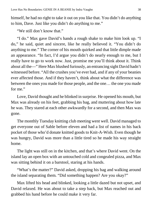himself, he had no right to take it out on you like that. You didn't do anything to him, Dave. Just like you didn't do anything to me."

"We still don't know that."

"I do." Max gave David's hands a rough shake to make him look up. "I do," he said, quiet and sincere, like he really believed it. "You didn't do anything to me." The corner of his mouth quirked and that little dimple made an appearance. "In fact, I'd argue you didn't do nearly enough to me, but I really have to go to work now. Just, promise me you'll think about it. Think about all the—" Here Max blushed furiously, an entrancing sight David hadn't witnessed before. "All the crushes you've ever had, and if any of your beanies ever affected those. And if they haven't, think about what the difference was between the ones you made for those people, and the one… the one you made for me."

Love, David thought and he blinked in surprise. He opened his mouth, but Max was already on his feet, grabbing his bag, and muttering about how late he was. They stared at each other awkwardly for a second, and then Max was gone.

The monthly Tuesday knitting club meeting went well. David managed to get everyone out of Sable before eleven and had a list of names in his back pocket of those who'd donate knitted goods to Knit-A-Wish. Even though he was hungry, David was more than a little tired so he made his way straight home.

The light was still on in the kitchen, and that's where David went. On the island lay an open box with an untouched cold and congealed pizza, and Max was sitting behind it on a barstool, staring at his hands.

"What's the matter?" David asked, dropping his bag and walking around the island separating them. "Did something happen? Are you okay?"

Max lifted his head and blinked, looking a little dazed but not upset, and David relaxed. He was about to take a step back, but Max reached out and grabbed his hand before he could make it very far.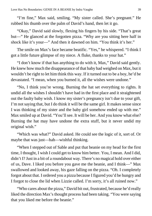"I'm fine," Max said, smiling. "My sister called. She's pregnant." He rubbed his thumb over the palm of David's hand, then let it go.

"Okay," David said slowly, flexing his fingers by his side. "That's great but—" He glanced at the forgotten pizza. "Why are you sitting here half in shock like it's your—" And then it dawned on him. "You think it's her."

The smile on Max's face became beatific. "Yes," he whispered. "I think I got a little future glimpse of my niece. A fluke, thanks to your hat."

"I don't know if that has anything to do with it, Max," David said gently. He knew how much the disappearance of that baby had weighed on Max, but it wouldn't be right to let him think this way. If it turned out to be a boy, he'd be devastated. "I mean, when you burned it, all the wishes were undone."

"No, I think you're wrong. Burning the hat set everything to rights. It undid all the wishes I shouldn't have had in the first place and it straightened out the faulty baby wish. I know my sister's pregnancy isn't due to your gift, I'm not saying that, but I do think it will be the same girl. It makes sense since I was thinking of my sister and the baby girl somehow ended up with me." Max smiled up at David. "You'll see. It will be her. And you know what else? Burning the hat may have undone the extra stuff, but it never undid my original wish."

"Which was what?" David asked. He could see the logic of it, sort of. Or maybe that was just—hah—wishful thinking.

"When I stepped out of Sable and put that beanie on my head for the first time, I thought, I wish I could get to know him better. You, I mean. And I did, didn't I? Just in a bit of a roundabout way. There's no magical hold over either of us, Dave. I liked you before you gave me the beanie, and I think—" Max swallowed and looked away, his gaze falling on the pizza. "Oh. I completely forgot about that. I ordered you a pizza because I figured you'd be hungry and I forgot to close the lid when Lizzie called. I'm sorry, it's all ruined now."

"Who cares about the pizza," David bit out, frustrated, because he'd really liked the direction Max's thought process had been taking. "You were saying that you liked me before the beanie."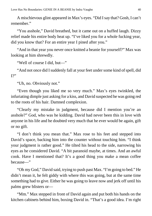A mischievous glint appeared in Max's eyes. "Did I say that? Gosh, I can't remember."

"You asshole," David breathed, but it came out on a huffed laugh. Dizzy relief made his entire body heat up. "I've liked you for a whole fucking year, did you know that? For an entire year I pined after you."

"And in that year you never once knitted a beanie for yourself?" Max was looking at him shrewdly.

"Well of course I did, but—"

"And not once did I suddenly fall at your feet under some kind of spell, did  $I$ ?"

"Uh, no. Obviously not."

"Even though you liked me so very much." Max's eyes twinkled, the infuriating dimple just asking for a kiss, and David suspected he was going red to the roots of his hair. Damned complexion.

"Clearly my mistake in judgment, because did I mention you're an asshole?" God, who was he kidding. David had never been this in love with anyone in his life and he doubted very much that he ever would be again, gift or no gift.

"I don't think you mean that." Max rose to his feet and stepped into David's space, backing him into the counter without touching him. "I think your judgment is rather good." He tilted his head to the side, narrowing his eyes as he considered David. "A bit paranoid maybe, at times. And an awful cook. Have I mentioned that? It's a good thing you make a mean coffee because—"

"Oh my God," David said, trying to push past Max. "I'm going to bed." He didn't mean it, he felt giddy with where this was going, but at the same time something had to give. Either he was going to leave now and jerk off until his palms grew blisters or—

"Mm." Max stepped in front of David again and put both his hands on the kitchen cabinets behind him, boxing David in. "That's a good idea. I'm right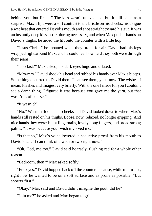behind you, but first—" The kiss wasn't unexpected, but it still came as a surprise. Max's lips were a soft contrast to the bristle on his cheeks, his tongue a wet heat that entered David's mouth and shot straight toward his gut. It was an instantly deep kiss, no exploring necessary, and when Max put his hands on David's thighs, he aided the lift onto the counter with a little hop.

"Jesus Christ," he moaned when they broke for air. David had his legs wrapped right around Max, and he could feel how hard they both were through their jeans.

"Too fast?" Max asked, his dark eyes huge and dilated.

"Mm-mm." David shook his head and rubbed his hands over Max's biceps. Something occurred to David then. "I can see them, you know. The wishes, I mean. Flashes and images, very briefly. With the one I made for you I couldn't see a damn thing. I figured it was because you gave me the yarn, but that wasn't it, of course."

"It wasn't?"

"No." Warmth flooded his cheeks and David looked down to where Max's hands still rested on his thighs. Loose, now, relaxed, no longer gripping. And nice hands they were: blunt fingernails, lovely, long fingers, and broad strong palms. "It was because your wish involved me."

"Is that so," Max's voice lowered, a seductive prowl from his mouth to David's ear. "I can think of a wish or two right now."

"Oh, God, me too," David said hoarsely, flushing red for a whole other reason.

"Bedroom, then?" Max asked softly.

"Fuck yes." David hopped back off the counter, because, while mmm-hot, right now he wanted to be on a soft surface and as prone as possible. "But shower first."

"Okay," Max said and David didn't imagine the pout, did he?

"Join me?" he asked and Max began to grin.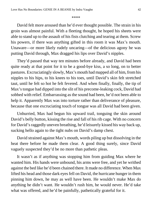#### \*\*\*\*

David felt more aroused than he'd ever thought possible. The strain in his groin was almost painful. With a fleeting thought, he hoped his sheets were able to stand up to the assault of his fists clutching and tearing at them. Screw his powers, if there was anything gifted in this room it was Max's mouth. Unaware—or more likely rudely uncaring—of the delicious agony he was putting David through, Max dragged his lips over David's nipples.

They'd passed that way ten minutes before already, and David had been quite ready at that point for it to be a good-bye kiss, a so long, on to better pastures. Excruciatingly slowly, Max's mouth had mapped all of him, from his nipples to his hips, to his knees to his toes, until David's skin felt stretched taut, until he felt so hot he felt fevered. And when finally, finally, the tip of Max's tongue had dipped into the slit of his precome-leaking cock, David had sobbed with relief. Embarrassing as the sound had been, he'd not been able to help it. Apparently Max was into torture rather than deliverance of pleasure, because that one excruciating touch of tongue was all David had been given.

Unhurried, Max had begun his upward trail, tonguing the skin around David's belly button, kissing the rise and fall of his rib cage. With no concern for David's raggedly uneven breathing, he'd leisurely kissed his way back up, sucking hello again to the tight nubs on David's damp chest.

David strained against Max's mouth, words piling up but dissolving in the heat there before he made them clear. A good thing surely, since David vaguely suspected they'd be no more than pathetic pleas.

It wasn't as if anything was stopping him from guiding Max where he wanted him. His hands were unbound, his arms were free, and yet he writhed against the bed like he'd been chained there. It made no difference. When Max lifted his head and those dark eyes fell on David, the hurricane hunger in them pinning him down, he may as well have been. He wouldn't make Max do anything he didn't want. He wouldn't rush him, he would never. He'd take what was offered, and he'd be painfully, pathetically grateful for it.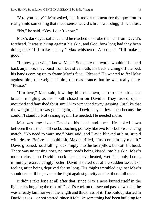"Are you okay?" Max asked, and it took a moment for the question to realign into something that made sense. David's brain was sluggish with lust.

"No," he said. "Yes. I don't know."

Max's dark eyes softened and he reached to stroke the hair from David's forehead. It was sticking against his skin, and God, how long had they been doing this? "I'll make it okay," Max whispered. A promise. "I'll make it good."

"I know you will, I know. Max." Suddenly the words wouldn't be held back anymore; they burst from David's mouth, his back arching off the bed, his hands coming up to frame Max's face. "Please." He wanted to feel Max against him, the weight of him, the reassurance that he was really there. "Please."

"I'm here," Max said, lowering himself down, skin to slick skin, hot breaths mingling as his mouth closed in on David's. They kissed, openmouthed and famished for it, until Max wrenched away, gasping. Just like that the weight of him was gone again, and David's eyes flew open because he couldn't stand it. Not teasing again. He needed. He needed more.

Max was braced over David on his hands and knees. He looked down between them, their stiff cocks touching politely like two foils before a fencing match. "No need to warn me," Max said, and David blinked at him, stupid with desire. Before he could ask, Max clarified, "Just come in my mouth." David groaned, head falling back limply into the lush pillow beneath his head. There was no teasing now, no more roads being kissed into his skin. Max's mouth closed on David's cock like an overheated, wet fist, only better, infinitely, excruciatingly better. David shouted out at the sudden assault of feeling after being deprived for so long. His thighs trembled against Max's shoulders until he gave up the fight against gravity and let them fall open.

It didn't take long at all after that, since Max's nose buried itself in the light curls hugging the root of David's cock on the second pass down as if he was already familiar with the length and thickness of it. The buildup started in David's toes—or not started, since it felt like something had been building for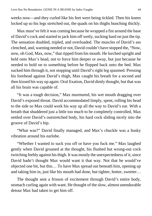weeks now—and they curled like his feet were being tickled. Then his knees locked up so his legs stretched out, the quads on his thighs bunching thickly.

Max must've felt it was coming because he wrapped a fist around the base of David's cock and started to jack him off wetly, sucking hard on just the tip. The sensation doubled, tripled, and overloaded. The muscles of David's ass clenched, and, warning needed or not, David couldn't have stopped the, "Now, now, oh God, Max, now," that ripped from his mouth. He lurched upright and held onto Max's head, not to force him deeper or away, but just because he needed to hold on to something before he flopped back onto the bed. Max sucked him through it, not stopping until David's right leg spasmed. Pressing his forehead against David's thigh, Max caught his breath for a second and then kissed his way up again. Oral fixation, David dimly thought, but that was all his brain was capable of.

"It was a tough decision," Max murmured, his wet mouth dragging over David's exposed throat. David accommodated limply, spent, rolling his head to the side so Max could work his way up all the way to David's ear. With a breath that shuddered just a little too much to be completely controlled, Max settled over David's outstretched body, his hard cock sliding nicely into the groove of David's hip.

"What was?" David finally managed, and Max's chuckle was a husky vibration around his earlobe.

"Whether I wanted to suck you off or have you fuck me." Max laughed gently when David groaned at the thought, his flushed but wrung-out cock twitching feebly against his thigh. It was mostly the unexpectedness of it, since David hadn't thought Max would want it that way. Not that he would've objected one bit, but this… To have Max spread out beneath him, opening up and taking him in, just like his mouth had done, but tighter, hotter, sweeter…

The thought sent a frisson of excitement through David's entire body, stomach curling again with want. He thought of the slow, almost unendurable detour Max had taken to get him off.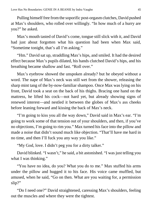Pulling himself free from the soporific post-orgasm clutches, David pushed at Max's shoulders, who rolled over willingly. "In how much of a hurry are you?" he asked.

Max's mouth tasted of David's come, tongue still slick with it, and David had just about forgotten what his question had been when Max said, "Sometime tonight, that's all I'm asking."

"Hm." David sat up, straddling Max's hips, and smiled. It had the desired effect because Max's pupils dilated, his hands clutched David's hips, and his breathing became shallow and fast. "Roll over."

Max's eyebrow showed the unspoken already? but he obeyed without a word. The nape of Max's neck was still wet from the shower, releasing the sharp mint tang of the by-now-familiar shampoo. Once Max was lying on his front, David took a seat on the back of his thighs. Bracing one hand on the mattress, he lifted his cock—not hard yet, but already showing signs of renewed interest—and nestled it between the globes of Max's ass cheeks before leaning forward and kissing the back of Max's neck.

"I'm going to kiss you all the way down," David said in Max's ear. "I'm going to work some of that tension out of your shoulders, and then, if you've no objections, I'm going to rim you." Max turned his face into the pillow and made a noise that didn't sound much like objection. "That'll have me hard in no time, and then I'll fuck you any way you like."

"My God, love. I didn't peg you for a dirty talker."

David blinked. "I wasn't," he said, a bit astonished. "I was just telling you what I was thinking."

"You have no idea, do you? What you do to me." Max stuffed his arms under the pillow and hugged it to his face. His voice came muffled, but amused, when he said, "Go on then. What are you waiting for, a permission slip?"

"Do I need one?" David straightened, caressing Max's shoulders, feeling out the muscles and where they were the tightest.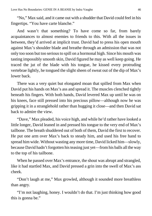"No," Max said, and it came out with a shudder that David could feel in his fingertips. "You have carte blanche."

And wasn't that something? To have come so far, from barely acquaintances to almost enemies to friends to this. With all the issues in between, they'd arrived at implicit trust. David had to press his open mouth against Max's shoulder blade and breathe through an admission that was not only too soon but too serious to spill on a hormonal high. Since his mouth was tasting impossibly smooth skin, David figured he may as well keep going. He traced the jut of the blade with his tongue, he kissed every protruding vertebrae lightly, he tongued the slight sheen of sweat out of the dip of Max's lower back.

There was a very quiet but elongated moan that spilled from Max when David put his hands on Max's ass and spread it. The muscles clenched tightly beneath his fingers. With both hands, David levered Max up until he was on his knees, face still pressed into his precious pillow—although now he was gripping it in a stranglehold rather than hugging it close—and then David sat back to admire the view.

"Dave," Max pleaded, his voice high, and while he'd rather have looked a little longer, David leaned in and pressed his tongue to the very end of Max's tailbone. The breath shuddered out of both of them, David the first to recover. He put one arm over Max's back to steady him, and used his free hand to spread him wide. Without wasting any more time, David licked him—slowly, because David hadn't forgotten his teasing just yet—from his balls all the way to the top of his tailbone.

When he passed over Max's entrance, the shout was abrupt and strangled, like it had startled Max, and David pressed a grin into the swell of Max's ass cheek.

"Don't laugh at me," Max growled, although it sounded more breathless than angry.

"I'm not laughing, honey. I wouldn't do that. I'm just thinking how good this is gonna be."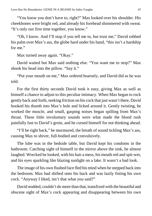"You know you don't have to, right?" Max looked over his shoulder. His cheekbones were bright red, and already his forehead shimmered with sweat. "It's only our first time together, you know."

"Oh, I know. And I'll stop if you tell me to, but trust me," David rubbed his palm over Max's ass, the globe hard under his hand, "this isn't a hardship for me."

Max turned away again. "Okay."

David waited but Max said nothing else. "You want me to stop?" Max shook his head into the pillow. "Say it."

"Put your mouth on me," Max ordered hoarsely, and David did as he was told.

For the first thirty seconds David took it easy, giving Max as well as himself a chance to adjust to this peculiar intimacy. When Max began to rock gently back and forth, seeking friction on his cock that just wasn't there, David hooked his thumb into Max's hole and licked around it. Gently twisting, he worked the muscle, and small, gasping noises began spilling from Max's throat. These little involuntary sounds were what made the blood rush painfully fast to David's groin, and he cursed himself for not thinking ahead.

"I'll be right back," he murmured, the breath of sound tickling Max's ass, causing Max to shiver, full-bodied and convulsively.

The lube was in the bedside table, but David kept his condoms in the bathroom. Catching sight of himself in the mirror above the sink, he almost laughed. Wrecked he looked, with his hair a mess, his mouth red and spit-wet, and his eyes sparkling like blazing sunlight on a lake. It wasn't a bad look.

The image of his own flushed face fled his mind when he stepped back into the bedroom. Max had shifted onto his back and was lazily fisting his own cock. "Anyway I liked, isn't that what you said?"

David nodded, couldn't do more than that, transfixed with the beautiful and obscene sight of Max's cock appearing and disappearing between his own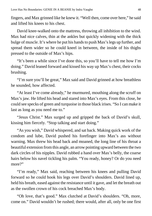fingers, and Max grinned like he knew it. "Well then, come over here," he said and lifted his knees to his chest.

David knee-walked onto the mattress, throwing all inhibition to the wind. Max had nice calves, thin at the ankles but quickly widening with the thick bulge of muscle. It's where he put his hands to push Max's legs up further, and spread them wider so he could kneel in between, the inside of his thighs pressed to the outside of Max's hips.

"It's been a while since I've done this, so you'll have to tell me how I'm doing." David leaned forward and kissed his way up Max's chest, their cocks brushing.

"I'm sure you'll be great," Max said and David grinned at how breathless he sounded, how affected.

"At least I've come already," he murmured, mouthing along the scruff on Max's jaw. He lifted his head and stared into Max's eyes. From this close, he could see specks of green and turquoise in those black irises. "So I can make it last as long as you need me to."

"Jesus Christ." Max surged up and gripped the back of David's skull, kissing him fiercely. "Stop talking and start doing."

"As you wish," David whispered, and sat back. Making quick work of the condom and lube, David pushed his forefinger into Max's ass without warning. Max threw his head back and moaned, the long line of his throat a beautiful extension from this angle, an arrow pointing upward between the two dark circles of his nipples. David rubbed a hand over Max's belly, the coarse hairs below his navel tickling his palm. "You ready, honey? Or do you need more?"

"I'm ready," Max said, reaching between his knees and pulling David forward so he could hook his legs over David's shoulders. David lined up, held his breath, eased against the resistance until it gave, and let the breath out as the swollen crown of his cock breached Max's body.

"Oh love, that's good." Max clutched at David's shoulders. "Oh, more, come on." David wouldn't be rushed; there would, after all, only be one first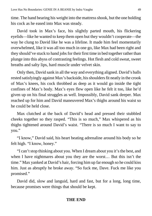time. The hand bearing his weight into the mattress shook, but the one holding his cock as he eased into Max was steady.

David took in Max's face, his slightly parted mouth, his flickering eyelids—like he wanted to keep them open but they wouldn't cooperate—the way he clung to David like he was a lifeline. It made him feel momentarily overwhelmed, like it was all too much in one go, like Max had been right and they should've stuck to hand jobs for their first time in bed together rather than plunge into this abyss of contrasting feelings. Hot flesh and cold sweat, sweet breaths and salty lips, hard muscle under velvet skin.

Only then, David sank in all the way and everything aligned. David's balls rested satisfyingly against Max's backside, his shoulders fit neatly in the crook of Max's knees, his cock throbbed as deep as it would go inside the tight confines of Max's body. Max's eyes flew open like he felt it too, like he'd given up on his final struggles as well. Impossibly, David sank deeper. Max reached up for him and David maneuvered Max's thighs around his waist so he could be held close.

Max clutched at the back of David's head and pressed their stubbled cheeks together so they rasped. "This is so much," Max whispered as his thighs tightened around David's waist. "There is so much I want to say to you."

"I know," David said, his heart beating adrenaline around his body so he felt high. "I know, honey."

"I can't stop thinking about you. When I dream about you it's the best, and when I have nightmares about you they are the worst… But this isn't the time." Max yanked at David's hair, forcing him up far enough so he could kiss him. Just as abruptly he broke away. "So fuck me, Dave. Fuck me like you promised."

David did, slow and languid, hard and fast, but for a long, long time, because promises were things that should be kept.

#### **THE END**